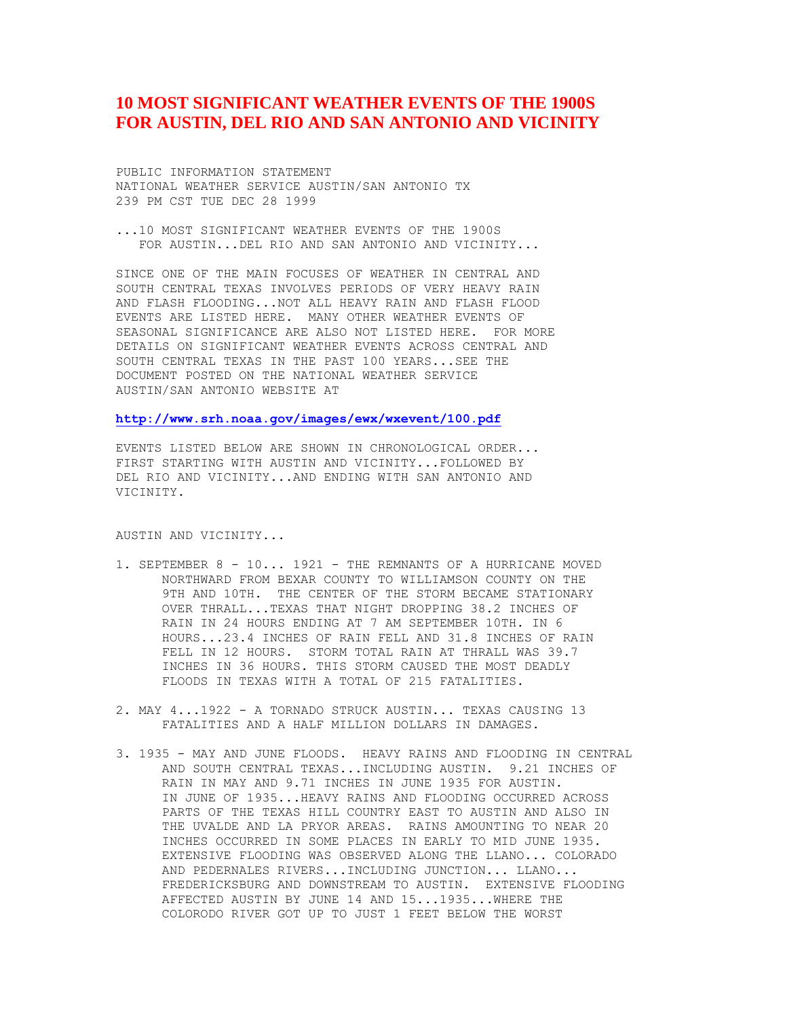## **10 MOST SIGNIFICANT WEATHER EVENTS OF THE 1900S FOR AUSTIN, DEL RIO AND SAN ANTONIO AND VICINITY**

PUBLIC INFORMATION STATEMENT NATIONAL WEATHER SERVICE AUSTIN/SAN ANTONIO TX 239 PM CST TUE DEC 28 1999

...10 MOST SIGNIFICANT WEATHER EVENTS OF THE 1900S FOR AUSTIN...DEL RIO AND SAN ANTONIO AND VICINITY...

SINCE ONE OF THE MAIN FOCUSES OF WEATHER IN CENTRAL AND SOUTH CENTRAL TEXAS INVOLVES PERIODS OF VERY HEAVY RAIN AND FLASH FLOODING...NOT ALL HEAVY RAIN AND FLASH FLOOD EVENTS ARE LISTED HERE. MANY OTHER WEATHER EVENTS OF SEASONAL SIGNIFICANCE ARE ALSO NOT LISTED HERE. FOR MORE DETAILS ON SIGNIFICANT WEATHER EVENTS ACROSS CENTRAL AND SOUTH CENTRAL TEXAS IN THE PAST 100 YEARS...SEE THE DOCUMENT POSTED ON THE NATIONAL WEATHER SERVICE AUSTIN/SAN ANTONIO WEBSITE AT

**<http://www.srh.noaa.gov/images/ewx/wxevent/100.pdf>**

EVENTS LISTED BELOW ARE SHOWN IN CHRONOLOGICAL ORDER... FIRST STARTING WITH AUSTIN AND VICINITY...FOLLOWED BY DEL RIO AND VICINITY...AND ENDING WITH SAN ANTONIO AND VICINITY.

AUSTIN AND VICINITY...

- 1. SEPTEMBER 8 10... 1921 THE REMNANTS OF A HURRICANE MOVED NORTHWARD FROM BEXAR COUNTY TO WILLIAMSON COUNTY ON THE 9TH AND 10TH. THE CENTER OF THE STORM BECAME STATIONARY OVER THRALL...TEXAS THAT NIGHT DROPPING 38.2 INCHES OF RAIN IN 24 HOURS ENDING AT 7 AM SEPTEMBER 10TH. IN 6 HOURS...23.4 INCHES OF RAIN FELL AND 31.8 INCHES OF RAIN FELL IN 12 HOURS. STORM TOTAL RAIN AT THRALL WAS 39.7 INCHES IN 36 HOURS. THIS STORM CAUSED THE MOST DEADLY FLOODS IN TEXAS WITH A TOTAL OF 215 FATALITIES.
- 2. MAY 4...1922 A TORNADO STRUCK AUSTIN... TEXAS CAUSING 13 FATALITIES AND A HALF MILLION DOLLARS IN DAMAGES.
- 3. 1935 MAY AND JUNE FLOODS. HEAVY RAINS AND FLOODING IN CENTRAL AND SOUTH CENTRAL TEXAS...INCLUDING AUSTIN. 9.21 INCHES OF RAIN IN MAY AND 9.71 INCHES IN JUNE 1935 FOR AUSTIN. IN JUNE OF 1935...HEAVY RAINS AND FLOODING OCCURRED ACROSS PARTS OF THE TEXAS HILL COUNTRY EAST TO AUSTIN AND ALSO IN THE UVALDE AND LA PRYOR AREAS. RAINS AMOUNTING TO NEAR 20 INCHES OCCURRED IN SOME PLACES IN EARLY TO MID JUNE 1935. EXTENSIVE FLOODING WAS OBSERVED ALONG THE LLANO... COLORADO AND PEDERNALES RIVERS...INCLUDING JUNCTION... LLANO... FREDERICKSBURG AND DOWNSTREAM TO AUSTIN. EXTENSIVE FLOODING AFFECTED AUSTIN BY JUNE 14 AND 15...1935...WHERE THE COLORODO RIVER GOT UP TO JUST 1 FEET BELOW THE WORST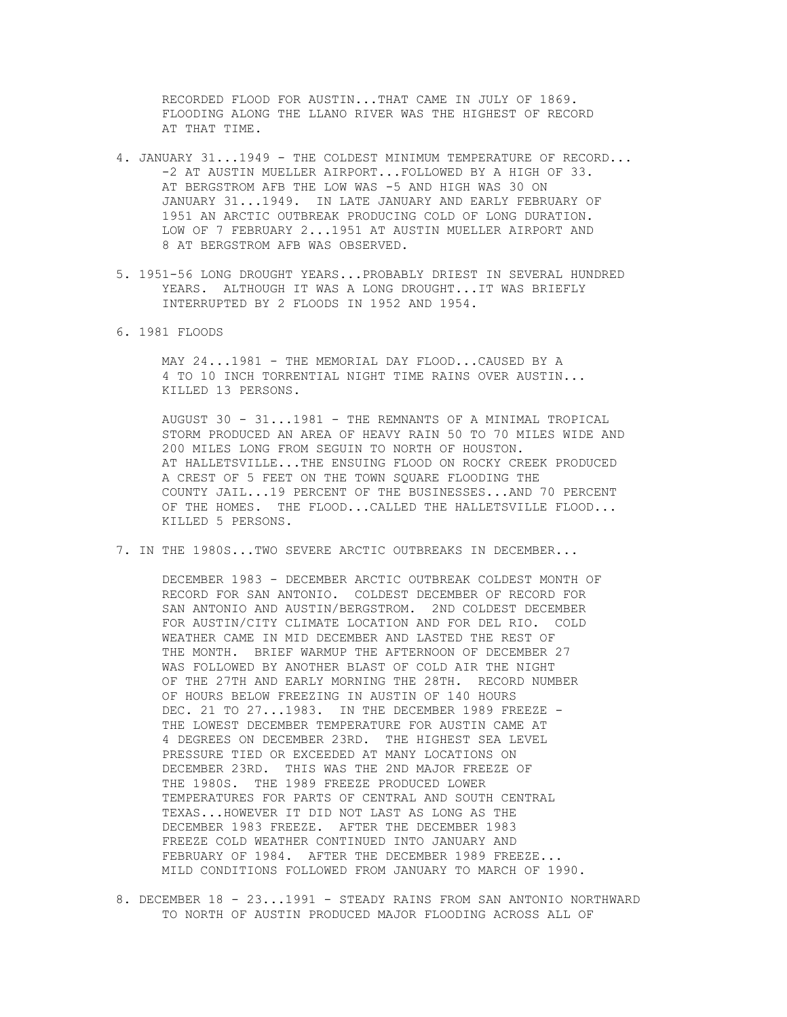RECORDED FLOOD FOR AUSTIN...THAT CAME IN JULY OF 1869. FLOODING ALONG THE LLANO RIVER WAS THE HIGHEST OF RECORD AT THAT TIME.

- 4. JANUARY 31...1949 THE COLDEST MINIMUM TEMPERATURE OF RECORD... -2 AT AUSTIN MUELLER AIRPORT...FOLLOWED BY A HIGH OF 33. AT BERGSTROM AFB THE LOW WAS -5 AND HIGH WAS 30 ON JANUARY 31...1949. IN LATE JANUARY AND EARLY FEBRUARY OF 1951 AN ARCTIC OUTBREAK PRODUCING COLD OF LONG DURATION. LOW OF 7 FEBRUARY 2...1951 AT AUSTIN MUELLER AIRPORT AND 8 AT BERGSTROM AFB WAS OBSERVED.
- 5. 1951-56 LONG DROUGHT YEARS...PROBABLY DRIEST IN SEVERAL HUNDRED YEARS. ALTHOUGH IT WAS A LONG DROUGHT...IT WAS BRIEFLY INTERRUPTED BY 2 FLOODS IN 1952 AND 1954.
- 6. 1981 FLOODS

 MAY 24...1981 - THE MEMORIAL DAY FLOOD...CAUSED BY A 4 TO 10 INCH TORRENTIAL NIGHT TIME RAINS OVER AUSTIN... KILLED 13 PERSONS.

 AUGUST 30 - 31...1981 - THE REMNANTS OF A MINIMAL TROPICAL STORM PRODUCED AN AREA OF HEAVY RAIN 50 TO 70 MILES WIDE AND 200 MILES LONG FROM SEGUIN TO NORTH OF HOUSTON. AT HALLETSVILLE...THE ENSUING FLOOD ON ROCKY CREEK PRODUCED A CREST OF 5 FEET ON THE TOWN SQUARE FLOODING THE COUNTY JAIL...19 PERCENT OF THE BUSINESSES...AND 70 PERCENT OF THE HOMES. THE FLOOD...CALLED THE HALLETSVILLE FLOOD... KILLED 5 PERSONS.

7. IN THE 1980S...TWO SEVERE ARCTIC OUTBREAKS IN DECEMBER...

 DECEMBER 1983 - DECEMBER ARCTIC OUTBREAK COLDEST MONTH OF RECORD FOR SAN ANTONIO. COLDEST DECEMBER OF RECORD FOR SAN ANTONIO AND AUSTIN/BERGSTROM. 2ND COLDEST DECEMBER FOR AUSTIN/CITY CLIMATE LOCATION AND FOR DEL RIO. COLD WEATHER CAME IN MID DECEMBER AND LASTED THE REST OF THE MONTH. BRIEF WARMUP THE AFTERNOON OF DECEMBER 27 WAS FOLLOWED BY ANOTHER BLAST OF COLD AIR THE NIGHT OF THE 27TH AND EARLY MORNING THE 28TH. RECORD NUMBER OF HOURS BELOW FREEZING IN AUSTIN OF 140 HOURS DEC. 21 TO 27...1983. IN THE DECEMBER 1989 FREEZE - THE LOWEST DECEMBER TEMPERATURE FOR AUSTIN CAME AT 4 DEGREES ON DECEMBER 23RD. THE HIGHEST SEA LEVEL PRESSURE TIED OR EXCEEDED AT MANY LOCATIONS ON DECEMBER 23RD. THIS WAS THE 2ND MAJOR FREEZE OF THE 1980S. THE 1989 FREEZE PRODUCED LOWER TEMPERATURES FOR PARTS OF CENTRAL AND SOUTH CENTRAL TEXAS...HOWEVER IT DID NOT LAST AS LONG AS THE DECEMBER 1983 FREEZE. AFTER THE DECEMBER 1983 FREEZE COLD WEATHER CONTINUED INTO JANUARY AND FEBRUARY OF 1984. AFTER THE DECEMBER 1989 FREEZE... MILD CONDITIONS FOLLOWED FROM JANUARY TO MARCH OF 1990.

8. DECEMBER 18 - 23...1991 - STEADY RAINS FROM SAN ANTONIO NORTHWARD TO NORTH OF AUSTIN PRODUCED MAJOR FLOODING ACROSS ALL OF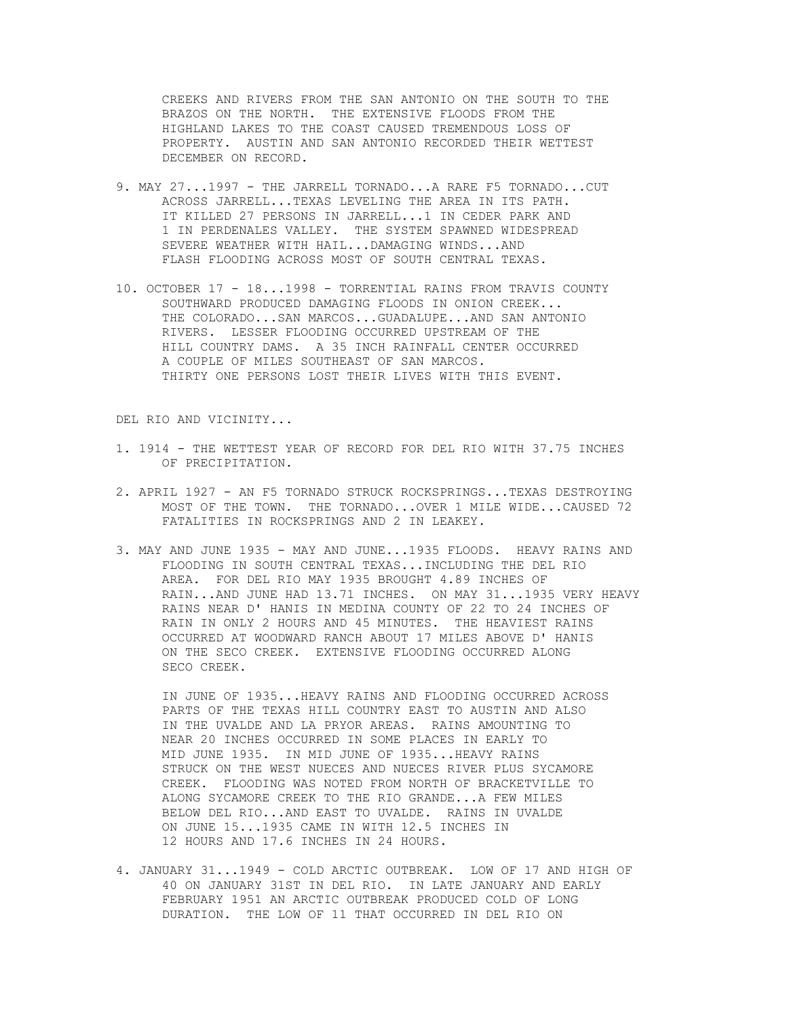CREEKS AND RIVERS FROM THE SAN ANTONIO ON THE SOUTH TO THE BRAZOS ON THE NORTH. THE EXTENSIVE FLOODS FROM THE HIGHLAND LAKES TO THE COAST CAUSED TREMENDOUS LOSS OF PROPERTY. AUSTIN AND SAN ANTONIO RECORDED THEIR WETTEST DECEMBER ON RECORD.

- 9. MAY 27...1997 THE JARRELL TORNADO...A RARE F5 TORNADO...CUT ACROSS JARRELL...TEXAS LEVELING THE AREA IN ITS PATH. IT KILLED 27 PERSONS IN JARRELL...1 IN CEDER PARK AND 1 IN PERDENALES VALLEY. THE SYSTEM SPAWNED WIDESPREAD SEVERE WEATHER WITH HAIL...DAMAGING WINDS...AND FLASH FLOODING ACROSS MOST OF SOUTH CENTRAL TEXAS.
- 10. OCTOBER 17 18...1998 TORRENTIAL RAINS FROM TRAVIS COUNTY SOUTHWARD PRODUCED DAMAGING FLOODS IN ONION CREEK... THE COLORADO...SAN MARCOS...GUADALUPE...AND SAN ANTONIO RIVERS. LESSER FLOODING OCCURRED UPSTREAM OF THE HILL COUNTRY DAMS. A 35 INCH RAINFALL CENTER OCCURRED A COUPLE OF MILES SOUTHEAST OF SAN MARCOS. THIRTY ONE PERSONS LOST THEIR LIVES WITH THIS EVENT.

DEL RIO AND VICINITY...

- 1. 1914 THE WETTEST YEAR OF RECORD FOR DEL RIO WITH 37.75 INCHES OF PRECIPITATION.
- 2. APRIL 1927 AN F5 TORNADO STRUCK ROCKSPRINGS...TEXAS DESTROYING MOST OF THE TOWN. THE TORNADO...OVER 1 MILE WIDE...CAUSED 72 FATALITIES IN ROCKSPRINGS AND 2 IN LEAKEY.
- 3. MAY AND JUNE 1935 MAY AND JUNE...1935 FLOODS. HEAVY RAINS AND FLOODING IN SOUTH CENTRAL TEXAS...INCLUDING THE DEL RIO AREA. FOR DEL RIO MAY 1935 BROUGHT 4.89 INCHES OF RAIN...AND JUNE HAD 13.71 INCHES. ON MAY 31...1935 VERY HEAVY RAINS NEAR D' HANIS IN MEDINA COUNTY OF 22 TO 24 INCHES OF RAIN IN ONLY 2 HOURS AND 45 MINUTES. THE HEAVIEST RAINS OCCURRED AT WOODWARD RANCH ABOUT 17 MILES ABOVE D' HANIS ON THE SECO CREEK. EXTENSIVE FLOODING OCCURRED ALONG SECO CREEK.

 IN JUNE OF 1935...HEAVY RAINS AND FLOODING OCCURRED ACROSS PARTS OF THE TEXAS HILL COUNTRY EAST TO AUSTIN AND ALSO IN THE UVALDE AND LA PRYOR AREAS. RAINS AMOUNTING TO NEAR 20 INCHES OCCURRED IN SOME PLACES IN EARLY TO MID JUNE 1935. IN MID JUNE OF 1935...HEAVY RAINS STRUCK ON THE WEST NUECES AND NUECES RIVER PLUS SYCAMORE CREEK. FLOODING WAS NOTED FROM NORTH OF BRACKETVILLE TO ALONG SYCAMORE CREEK TO THE RIO GRANDE...A FEW MILES BELOW DEL RIO...AND EAST TO UVALDE. RAINS IN UVALDE ON JUNE 15...1935 CAME IN WITH 12.5 INCHES IN 12 HOURS AND 17.6 INCHES IN 24 HOURS.

4. JANUARY 31...1949 - COLD ARCTIC OUTBREAK. LOW OF 17 AND HIGH OF 40 ON JANUARY 31ST IN DEL RIO. IN LATE JANUARY AND EARLY FEBRUARY 1951 AN ARCTIC OUTBREAK PRODUCED COLD OF LONG DURATION. THE LOW OF 11 THAT OCCURRED IN DEL RIO ON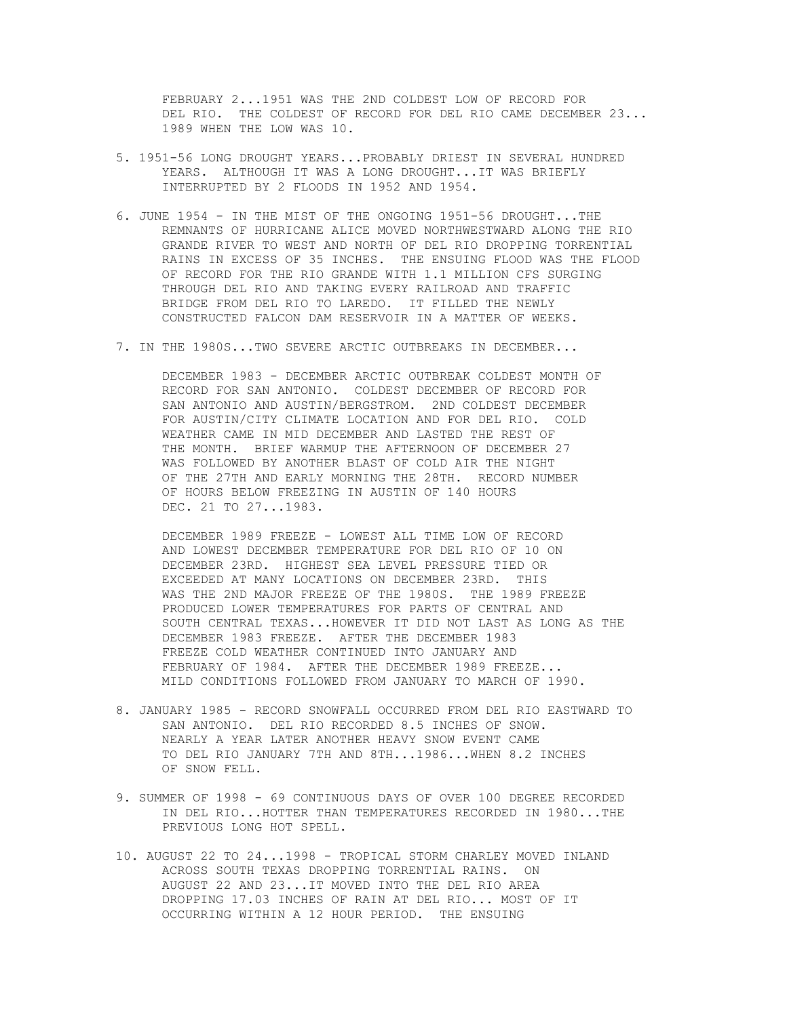FEBRUARY 2...1951 WAS THE 2ND COLDEST LOW OF RECORD FOR DEL RIO. THE COLDEST OF RECORD FOR DEL RIO CAME DECEMBER 23... 1989 WHEN THE LOW WAS 10.

- 5. 1951-56 LONG DROUGHT YEARS...PROBABLY DRIEST IN SEVERAL HUNDRED YEARS. ALTHOUGH IT WAS A LONG DROUGHT...IT WAS BRIEFLY INTERRUPTED BY 2 FLOODS IN 1952 AND 1954.
- 6. JUNE 1954 IN THE MIST OF THE ONGOING 1951-56 DROUGHT...THE REMNANTS OF HURRICANE ALICE MOVED NORTHWESTWARD ALONG THE RIO GRANDE RIVER TO WEST AND NORTH OF DEL RIO DROPPING TORRENTIAL RAINS IN EXCESS OF 35 INCHES. THE ENSUING FLOOD WAS THE FLOOD OF RECORD FOR THE RIO GRANDE WITH 1.1 MILLION CFS SURGING THROUGH DEL RIO AND TAKING EVERY RAILROAD AND TRAFFIC BRIDGE FROM DEL RIO TO LAREDO. IT FILLED THE NEWLY CONSTRUCTED FALCON DAM RESERVOIR IN A MATTER OF WEEKS.
- 7. IN THE 1980S...TWO SEVERE ARCTIC OUTBREAKS IN DECEMBER...

 DECEMBER 1983 - DECEMBER ARCTIC OUTBREAK COLDEST MONTH OF RECORD FOR SAN ANTONIO. COLDEST DECEMBER OF RECORD FOR SAN ANTONIO AND AUSTIN/BERGSTROM. 2ND COLDEST DECEMBER FOR AUSTIN/CITY CLIMATE LOCATION AND FOR DEL RIO. COLD WEATHER CAME IN MID DECEMBER AND LASTED THE REST OF THE MONTH. BRIEF WARMUP THE AFTERNOON OF DECEMBER 27 WAS FOLLOWED BY ANOTHER BLAST OF COLD AIR THE NIGHT OF THE 27TH AND EARLY MORNING THE 28TH. RECORD NUMBER OF HOURS BELOW FREEZING IN AUSTIN OF 140 HOURS DEC. 21 TO 27...1983.

 DECEMBER 1989 FREEZE - LOWEST ALL TIME LOW OF RECORD AND LOWEST DECEMBER TEMPERATURE FOR DEL RIO OF 10 ON DECEMBER 23RD. HIGHEST SEA LEVEL PRESSURE TIED OR EXCEEDED AT MANY LOCATIONS ON DECEMBER 23RD. THIS WAS THE 2ND MAJOR FREEZE OF THE 1980S. THE 1989 FREEZE PRODUCED LOWER TEMPERATURES FOR PARTS OF CENTRAL AND SOUTH CENTRAL TEXAS...HOWEVER IT DID NOT LAST AS LONG AS THE DECEMBER 1983 FREEZE. AFTER THE DECEMBER 1983 FREEZE COLD WEATHER CONTINUED INTO JANUARY AND FEBRUARY OF 1984. AFTER THE DECEMBER 1989 FREEZE... MILD CONDITIONS FOLLOWED FROM JANUARY TO MARCH OF 1990.

- 8. JANUARY 1985 RECORD SNOWFALL OCCURRED FROM DEL RIO EASTWARD TO SAN ANTONIO. DEL RIO RECORDED 8.5 INCHES OF SNOW. NEARLY A YEAR LATER ANOTHER HEAVY SNOW EVENT CAME TO DEL RIO JANUARY 7TH AND 8TH...1986...WHEN 8.2 INCHES OF SNOW FELL.
- 9. SUMMER OF 1998 69 CONTINUOUS DAYS OF OVER 100 DEGREE RECORDED IN DEL RIO...HOTTER THAN TEMPERATURES RECORDED IN 1980...THE PREVIOUS LONG HOT SPELL.
- 10. AUGUST 22 TO 24...1998 TROPICAL STORM CHARLEY MOVED INLAND ACROSS SOUTH TEXAS DROPPING TORRENTIAL RAINS. ON AUGUST 22 AND 23...IT MOVED INTO THE DEL RIO AREA DROPPING 17.03 INCHES OF RAIN AT DEL RIO... MOST OF IT OCCURRING WITHIN A 12 HOUR PERIOD. THE ENSUING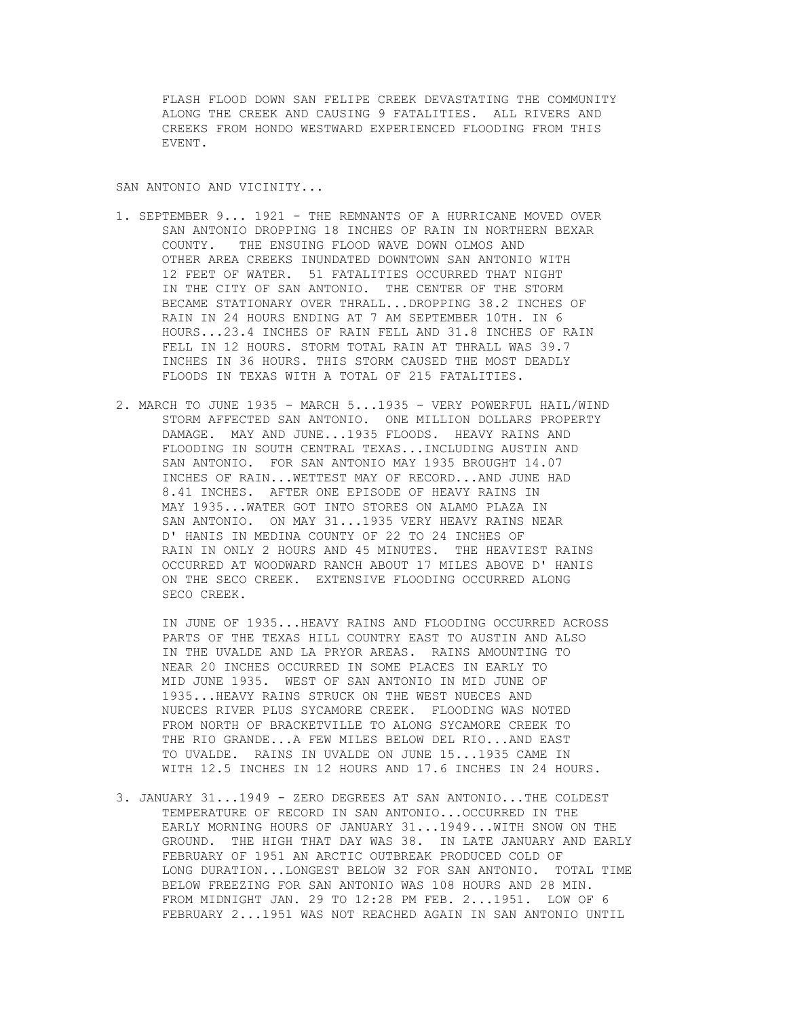FLASH FLOOD DOWN SAN FELIPE CREEK DEVASTATING THE COMMUNITY ALONG THE CREEK AND CAUSING 9 FATALITIES. ALL RIVERS AND CREEKS FROM HONDO WESTWARD EXPERIENCED FLOODING FROM THIS EVENT.

## SAN ANTONIO AND VICINITY...

- 1. SEPTEMBER 9... 1921 THE REMNANTS OF A HURRICANE MOVED OVER SAN ANTONIO DROPPING 18 INCHES OF RAIN IN NORTHERN BEXAR COUNTY. THE ENSUING FLOOD WAVE DOWN OLMOS AND OTHER AREA CREEKS INUNDATED DOWNTOWN SAN ANTONIO WITH 12 FEET OF WATER. 51 FATALITIES OCCURRED THAT NIGHT IN THE CITY OF SAN ANTONIO. THE CENTER OF THE STORM BECAME STATIONARY OVER THRALL...DROPPING 38.2 INCHES OF RAIN IN 24 HOURS ENDING AT 7 AM SEPTEMBER 10TH. IN 6 HOURS...23.4 INCHES OF RAIN FELL AND 31.8 INCHES OF RAIN FELL IN 12 HOURS. STORM TOTAL RAIN AT THRALL WAS 39.7 INCHES IN 36 HOURS. THIS STORM CAUSED THE MOST DEADLY FLOODS IN TEXAS WITH A TOTAL OF 215 FATALITIES.
- 2. MARCH TO JUNE 1935 MARCH 5...1935 VERY POWERFUL HAIL/WIND STORM AFFECTED SAN ANTONIO. ONE MILLION DOLLARS PROPERTY DAMAGE. MAY AND JUNE...1935 FLOODS. HEAVY RAINS AND FLOODING IN SOUTH CENTRAL TEXAS...INCLUDING AUSTIN AND SAN ANTONIO. FOR SAN ANTONIO MAY 1935 BROUGHT 14.07 INCHES OF RAIN...WETTEST MAY OF RECORD...AND JUNE HAD 8.41 INCHES. AFTER ONE EPISODE OF HEAVY RAINS IN MAY 1935...WATER GOT INTO STORES ON ALAMO PLAZA IN SAN ANTONIO. ON MAY 31...1935 VERY HEAVY RAINS NEAR D' HANIS IN MEDINA COUNTY OF 22 TO 24 INCHES OF RAIN IN ONLY 2 HOURS AND 45 MINUTES. THE HEAVIEST RAINS OCCURRED AT WOODWARD RANCH ABOUT 17 MILES ABOVE D' HANIS ON THE SECO CREEK. EXTENSIVE FLOODING OCCURRED ALONG SECO CREEK.

 IN JUNE OF 1935...HEAVY RAINS AND FLOODING OCCURRED ACROSS PARTS OF THE TEXAS HILL COUNTRY EAST TO AUSTIN AND ALSO IN THE UVALDE AND LA PRYOR AREAS. RAINS AMOUNTING TO NEAR 20 INCHES OCCURRED IN SOME PLACES IN EARLY TO MID JUNE 1935. WEST OF SAN ANTONIO IN MID JUNE OF 1935...HEAVY RAINS STRUCK ON THE WEST NUECES AND NUECES RIVER PLUS SYCAMORE CREEK. FLOODING WAS NOTED FROM NORTH OF BRACKETVILLE TO ALONG SYCAMORE CREEK TO THE RIO GRANDE...A FEW MILES BELOW DEL RIO...AND EAST TO UVALDE. RAINS IN UVALDE ON JUNE 15...1935 CAME IN WITH 12.5 INCHES IN 12 HOURS AND 17.6 INCHES IN 24 HOURS.

3. JANUARY 31...1949 - ZERO DEGREES AT SAN ANTONIO...THE COLDEST TEMPERATURE OF RECORD IN SAN ANTONIO...OCCURRED IN THE EARLY MORNING HOURS OF JANUARY 31...1949...WITH SNOW ON THE GROUND. THE HIGH THAT DAY WAS 38. IN LATE JANUARY AND EARLY FEBRUARY OF 1951 AN ARCTIC OUTBREAK PRODUCED COLD OF LONG DURATION...LONGEST BELOW 32 FOR SAN ANTONIO. TOTAL TIME BELOW FREEZING FOR SAN ANTONIO WAS 108 HOURS AND 28 MIN. FROM MIDNIGHT JAN. 29 TO 12:28 PM FEB. 2...1951. LOW OF 6 FEBRUARY 2...1951 WAS NOT REACHED AGAIN IN SAN ANTONIO UNTIL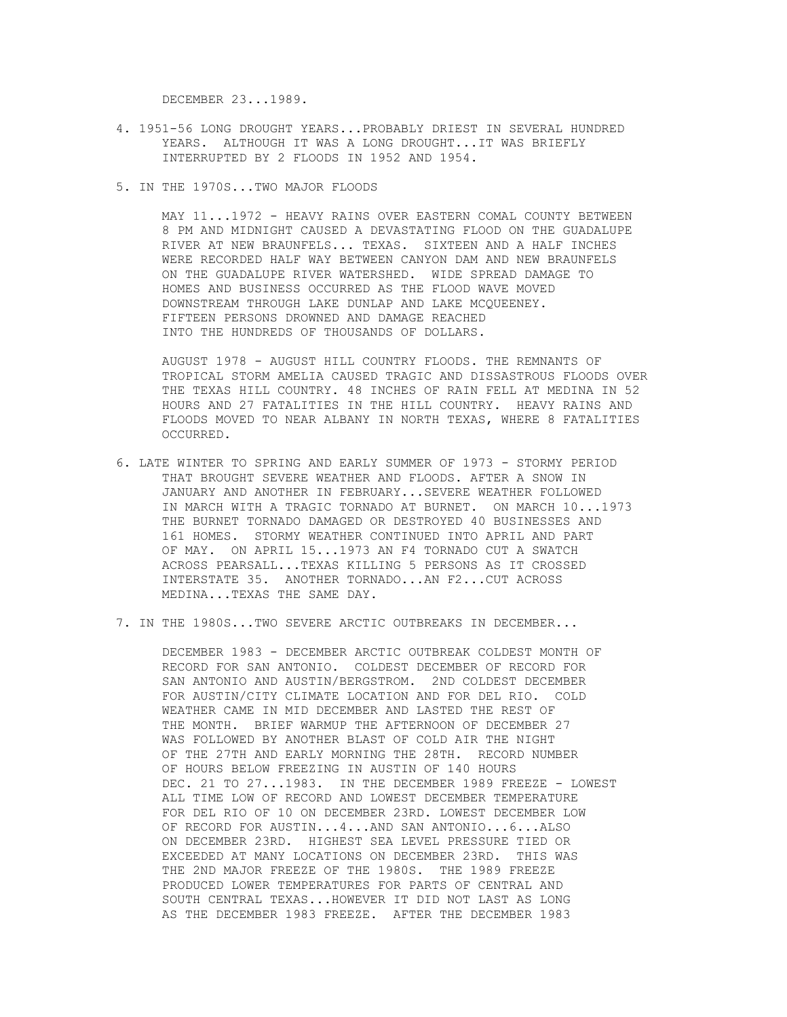DECEMBER 23...1989.

- 4. 1951-56 LONG DROUGHT YEARS...PROBABLY DRIEST IN SEVERAL HUNDRED YEARS. ALTHOUGH IT WAS A LONG DROUGHT...IT WAS BRIEFLY INTERRUPTED BY 2 FLOODS IN 1952 AND 1954.
- 5. IN THE 1970S...TWO MAJOR FLOODS

 MAY 11...1972 - HEAVY RAINS OVER EASTERN COMAL COUNTY BETWEEN 8 PM AND MIDNIGHT CAUSED A DEVASTATING FLOOD ON THE GUADALUPE RIVER AT NEW BRAUNFELS... TEXAS. SIXTEEN AND A HALF INCHES WERE RECORDED HALF WAY BETWEEN CANYON DAM AND NEW BRAUNFELS ON THE GUADALUPE RIVER WATERSHED. WIDE SPREAD DAMAGE TO HOMES AND BUSINESS OCCURRED AS THE FLOOD WAVE MOVED DOWNSTREAM THROUGH LAKE DUNLAP AND LAKE MCQUEENEY. FIFTEEN PERSONS DROWNED AND DAMAGE REACHED INTO THE HUNDREDS OF THOUSANDS OF DOLLARS.

 AUGUST 1978 - AUGUST HILL COUNTRY FLOODS. THE REMNANTS OF TROPICAL STORM AMELIA CAUSED TRAGIC AND DISSASTROUS FLOODS OVER THE TEXAS HILL COUNTRY. 48 INCHES OF RAIN FELL AT MEDINA IN 52 HOURS AND 27 FATALITIES IN THE HILL COUNTRY. HEAVY RAINS AND FLOODS MOVED TO NEAR ALBANY IN NORTH TEXAS, WHERE 8 FATALITIES OCCURRED.

- 6. LATE WINTER TO SPRING AND EARLY SUMMER OF 1973 STORMY PERIOD THAT BROUGHT SEVERE WEATHER AND FLOODS. AFTER A SNOW IN JANUARY AND ANOTHER IN FEBRUARY...SEVERE WEATHER FOLLOWED IN MARCH WITH A TRAGIC TORNADO AT BURNET. ON MARCH 10...1973 THE BURNET TORNADO DAMAGED OR DESTROYED 40 BUSINESSES AND 161 HOMES. STORMY WEATHER CONTINUED INTO APRIL AND PART OF MAY. ON APRIL 15...1973 AN F4 TORNADO CUT A SWATCH ACROSS PEARSALL...TEXAS KILLING 5 PERSONS AS IT CROSSED INTERSTATE 35. ANOTHER TORNADO...AN F2...CUT ACROSS MEDINA...TEXAS THE SAME DAY.
- 7. IN THE 1980S...TWO SEVERE ARCTIC OUTBREAKS IN DECEMBER...

 DECEMBER 1983 - DECEMBER ARCTIC OUTBREAK COLDEST MONTH OF RECORD FOR SAN ANTONIO. COLDEST DECEMBER OF RECORD FOR SAN ANTONIO AND AUSTIN/BERGSTROM. 2ND COLDEST DECEMBER FOR AUSTIN/CITY CLIMATE LOCATION AND FOR DEL RIO. COLD WEATHER CAME IN MID DECEMBER AND LASTED THE REST OF THE MONTH. BRIEF WARMUP THE AFTERNOON OF DECEMBER 27 WAS FOLLOWED BY ANOTHER BLAST OF COLD AIR THE NIGHT OF THE 27TH AND EARLY MORNING THE 28TH. RECORD NUMBER OF HOURS BELOW FREEZING IN AUSTIN OF 140 HOURS DEC. 21 TO 27...1983. IN THE DECEMBER 1989 FREEZE - LOWEST ALL TIME LOW OF RECORD AND LOWEST DECEMBER TEMPERATURE FOR DEL RIO OF 10 ON DECEMBER 23RD. LOWEST DECEMBER LOW OF RECORD FOR AUSTIN...4...AND SAN ANTONIO...6...ALSO ON DECEMBER 23RD. HIGHEST SEA LEVEL PRESSURE TIED OR EXCEEDED AT MANY LOCATIONS ON DECEMBER 23RD. THIS WAS THE 2ND MAJOR FREEZE OF THE 1980S. THE 1989 FREEZE PRODUCED LOWER TEMPERATURES FOR PARTS OF CENTRAL AND SOUTH CENTRAL TEXAS...HOWEVER IT DID NOT LAST AS LONG AS THE DECEMBER 1983 FREEZE. AFTER THE DECEMBER 1983